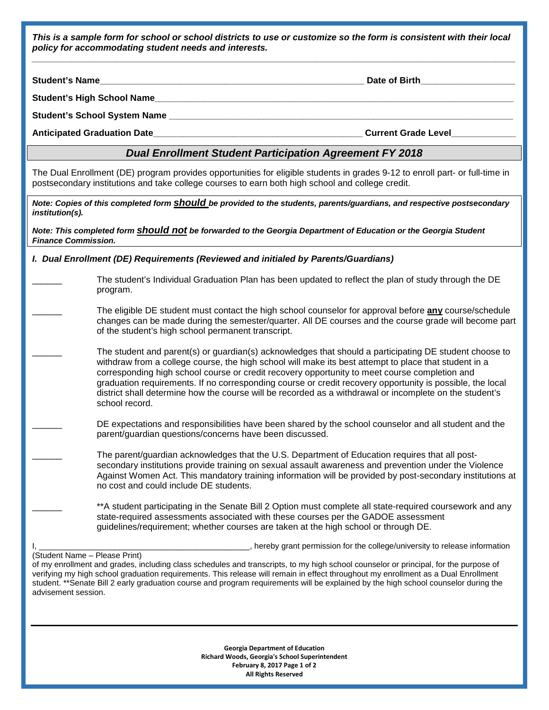*This is a sample form for school or school districts to use or customize so the form is consistent with their local policy for accommodating student needs and interests. \_\_\_\_\_\_\_\_\_\_\_\_\_\_\_\_\_\_\_\_\_\_\_\_\_\_\_\_\_\_\_\_\_\_\_\_\_\_\_\_\_\_\_\_\_\_\_\_\_\_\_\_\_\_\_\_\_\_\_\_\_\_\_\_\_\_\_\_\_\_\_\_\_\_\_\_\_\_\_\_\_\_\_\_\_\_\_\_\_\_\_\_\_\_\_\_\_*

**Student's Name\_\_\_\_\_\_\_\_\_\_\_\_\_\_\_\_\_\_\_\_\_\_\_\_\_\_\_\_\_\_\_\_\_\_\_\_\_\_\_\_\_\_\_\_\_\_\_\_\_\_\_\_\_ Date of Birth\_\_\_\_\_\_\_\_\_\_\_\_\_\_\_\_\_\_\_**

advisement session.

**Student's High School Name\_\_\_\_\_\_\_\_\_\_\_\_\_\_\_\_\_\_\_\_\_\_\_\_\_\_\_\_\_\_\_\_\_\_\_\_\_\_\_\_\_\_\_\_\_\_\_\_\_\_\_\_\_\_\_\_\_\_\_\_\_\_\_\_\_\_\_\_\_\_\_\_**

**Student's School System Name \_\_\_\_\_\_\_\_\_\_\_\_\_\_\_\_\_\_\_\_\_\_\_\_\_\_\_\_\_\_\_\_\_\_\_\_\_\_\_\_\_\_\_\_\_\_\_\_\_\_\_\_\_\_\_\_\_\_\_\_\_\_\_\_\_\_\_\_\_**

**Anticipated Graduation Date\_\_\_\_\_\_\_\_\_\_\_\_\_\_\_\_\_\_\_\_\_\_\_\_\_\_\_\_\_\_\_\_\_\_\_\_\_\_\_\_\_\_ Current Grade Level\_\_\_\_\_\_\_\_\_\_\_\_\_**

## *Dual Enrollment Student Participation Agreement FY 2018*

The Dual Enrollment (DE) program provides opportunities for eligible students in grades 9-12 to enroll part- or full-time in postsecondary institutions and take college courses to earn both high school and college credit.

| Note: Copies of this completed form <b>should</b> be provided to the students, parents/guardians, and respective postsecondary<br>institution(s).                                                                                                                                                                                                                                                                                                  |                                                                                                                                                                                                                                                                                                                                                                                                                                                                                                                                                            |  |  |
|----------------------------------------------------------------------------------------------------------------------------------------------------------------------------------------------------------------------------------------------------------------------------------------------------------------------------------------------------------------------------------------------------------------------------------------------------|------------------------------------------------------------------------------------------------------------------------------------------------------------------------------------------------------------------------------------------------------------------------------------------------------------------------------------------------------------------------------------------------------------------------------------------------------------------------------------------------------------------------------------------------------------|--|--|
| Note: This completed form <b>Should not</b> be forwarded to the Georgia Department of Education or the Georgia Student<br><b>Finance Commission.</b>                                                                                                                                                                                                                                                                                               |                                                                                                                                                                                                                                                                                                                                                                                                                                                                                                                                                            |  |  |
| I. Dual Enrollment (DE) Requirements (Reviewed and initialed by Parents/Guardians)                                                                                                                                                                                                                                                                                                                                                                 |                                                                                                                                                                                                                                                                                                                                                                                                                                                                                                                                                            |  |  |
|                                                                                                                                                                                                                                                                                                                                                                                                                                                    | The student's Individual Graduation Plan has been updated to reflect the plan of study through the DE<br>program.                                                                                                                                                                                                                                                                                                                                                                                                                                          |  |  |
|                                                                                                                                                                                                                                                                                                                                                                                                                                                    | The eligible DE student must contact the high school counselor for approval before any course/schedule<br>changes can be made during the semester/quarter. All DE courses and the course grade will become part<br>of the student's high school permanent transcript.                                                                                                                                                                                                                                                                                      |  |  |
|                                                                                                                                                                                                                                                                                                                                                                                                                                                    | The student and parent(s) or guardian(s) acknowledges that should a participating DE student choose to<br>withdraw from a college course, the high school will make its best attempt to place that student in a<br>corresponding high school course or credit recovery opportunity to meet course completion and<br>graduation requirements. If no corresponding course or credit recovery opportunity is possible, the local<br>district shall determine how the course will be recorded as a withdrawal or incomplete on the student's<br>school record. |  |  |
|                                                                                                                                                                                                                                                                                                                                                                                                                                                    | DE expectations and responsibilities have been shared by the school counselor and all student and the<br>parent/guardian questions/concerns have been discussed.                                                                                                                                                                                                                                                                                                                                                                                           |  |  |
|                                                                                                                                                                                                                                                                                                                                                                                                                                                    | The parent/guardian acknowledges that the U.S. Department of Education requires that all post-<br>secondary institutions provide training on sexual assault awareness and prevention under the Violence<br>Against Women Act. This mandatory training information will be provided by post-secondary institutions at<br>no cost and could include DE students.                                                                                                                                                                                             |  |  |
|                                                                                                                                                                                                                                                                                                                                                                                                                                                    | **A student participating in the Senate Bill 2 Option must complete all state-required coursework and any<br>state-required assessments associated with these courses per the GADOE assessment<br>guidelines/requirement; whether courses are taken at the high school or through DE.                                                                                                                                                                                                                                                                      |  |  |
|                                                                                                                                                                                                                                                                                                                                                                                                                                                    | , hereby grant permission for the college/university to release information                                                                                                                                                                                                                                                                                                                                                                                                                                                                                |  |  |
| (Student Name - Please Print)<br>of my enrollment and grades, including class schedules and transcripts, to my high school counselor or principal, for the purpose of<br>verifying my high school graduation requirements. This release will remain in effect throughout my enrollment as a Dual Enrollment<br>student. **Senate Bill 2 early graduation course and program requirements will be explained by the high school counselor during the |                                                                                                                                                                                                                                                                                                                                                                                                                                                                                                                                                            |  |  |

**Georgia Department of Education Richard Woods, Georgia's School Superintendent February 8, 2017 Page 1 of 2 All Rights Reserved**